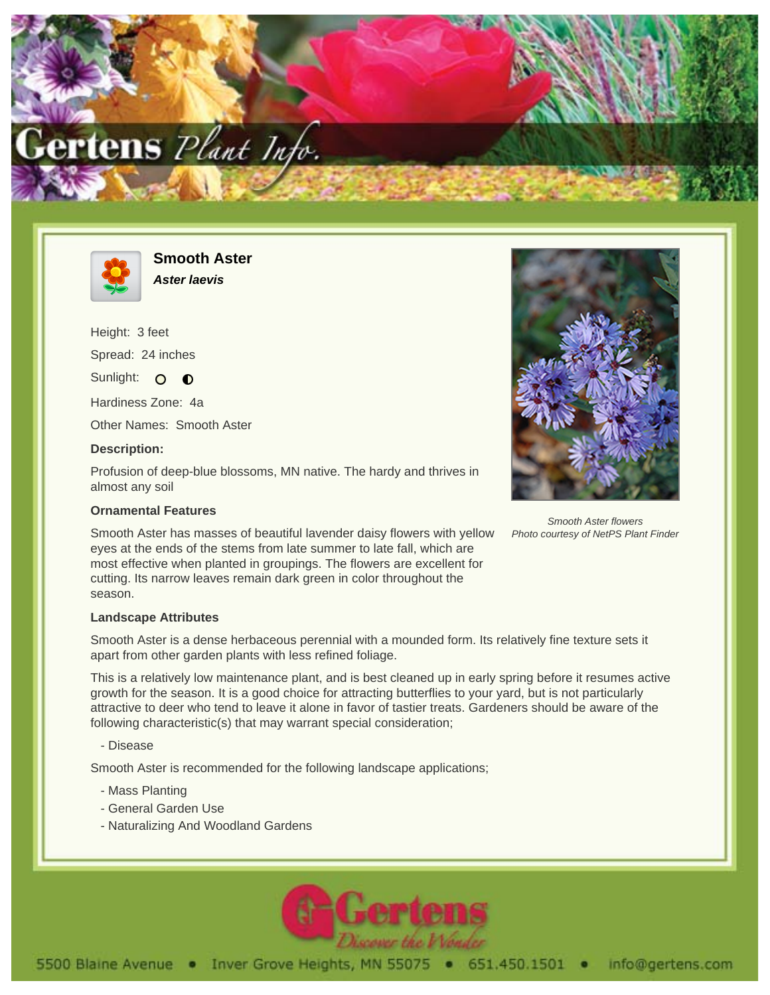



**Smooth Aster Aster laevis**

Height: 3 feet Spread: 24 inches Sunlight: O O

Hardiness Zone: 4a

Other Names: Smooth Aster

## **Description:**

Profusion of deep-blue blossoms, MN native. The hardy and thrives in almost any soil

## **Ornamental Features**

Smooth Aster has masses of beautiful lavender daisy flowers with yellow eyes at the ends of the stems from late summer to late fall, which are most effective when planted in groupings. The flowers are excellent for cutting. Its narrow leaves remain dark green in color throughout the season.



Smooth Aster flowers Photo courtesy of NetPS Plant Finder

## **Landscape Attributes**

Smooth Aster is a dense herbaceous perennial with a mounded form. Its relatively fine texture sets it apart from other garden plants with less refined foliage.

This is a relatively low maintenance plant, and is best cleaned up in early spring before it resumes active growth for the season. It is a good choice for attracting butterflies to your yard, but is not particularly attractive to deer who tend to leave it alone in favor of tastier treats. Gardeners should be aware of the following characteristic(s) that may warrant special consideration;

- Disease

Smooth Aster is recommended for the following landscape applications;

- Mass Planting
- General Garden Use
- Naturalizing And Woodland Gardens